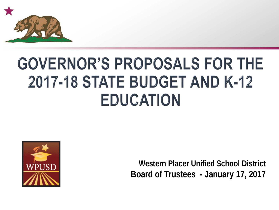

# **GOVERNOR'S PROPOSALS FOR THE** 2017-18 STATE BUDGET AND K-12 **EDUCATION**



**Western Placer Unified School District Board of Trustees - January 17, 2017**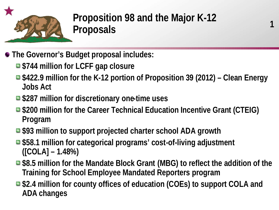

## **Proposition 98 and the Major K-12 Proposals**

**1**

- **The Governor's Budget proposal includes:**
	- **\$744 million for LCFF gap closure**
	- **\$422.9 million for the K-12 portion of Proposition 39 (2012) – Clean Energy Jobs Act**
	- \$287 million for discretionary one-time uses
	- \$200 million for the Career Technical Education Incentive Grant (CTEIG) **Program**
	- **\$93 million to support projected charter school ADA growth**
	- \$58.1 million for categorical programs' cost-of-living adjustment **([COLA] – 1.48%)**
	- \$8.5 million for the Mandate Block Grant (MBG) to reflect the addition of the **Training for School Employee Mandated Reporters program**
	- \$2.4 million for county offices of education (COEs) to support COLA and **ADA changes**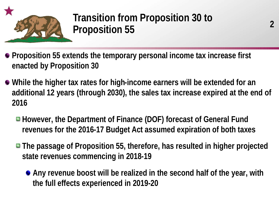

### **Transition from Proposition 30 to Proposition 55**

- **Proposition 55 extends the temporary personal income tax increase first enacted by Proposition 30**
- **While the higher tax rates for high-income earners will be extended for an additional 12 years (through 2030), the sales tax increase expired at the end of 2016**
	- However, the Department of Finance (DOF) forecast of General Fund **revenues for the 2016-17 Budget Act assumed expiration of both taxes**
	- **The passage of Proposition 55, therefore, has resulted in higher projected state revenues commencing in 2018-19**
		- **Any revenue boost will be realized in the second half of the year, with the full effects experienced in 2019-20**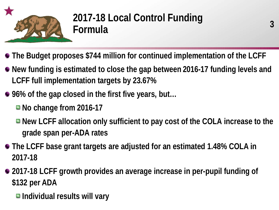

## **2017-18 Local Control Funding Formula**

- **The Budget proposes \$744 million for continued implementation of the LCFF**
- **New funding is estimated to close the gap between 2016-17 funding levels and LCFF full implementation targets by 23.67%**
- 96% of the gap closed in the first five years, but...
	- **No change from 2016-17**
	- New LCFF allocation only sufficient to pay cost of the COLA increase to the **grade span per-ADA rates**
- **The LCFF base grant targets are adjusted for an estimated 1.48% COLA in 2017-18**
- **2017-18 LCFF growth provides an average increase in per-pupil funding of \$132 per ADA**
	- **Individual results will vary**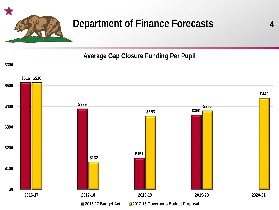

## **Department of Finance Forecasts**

**4**

#### **Average Gap Closure Funding Per Pupil**

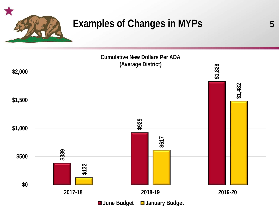

### **Examples of Changes in MYPs**

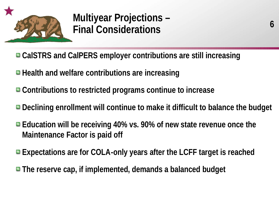

### **Multiyear Projections – Final Considerations**

- **CalSTRS and CalPERS employer contributions are still increasing**
- $\blacksquare$  Health and welfare contributions are increasing
- **Contributions to restricted programs continue to increase**
- **Declining enrollment will continue to make it difficult to balance the budget**
- Education will be receiving 40% vs. 90% of new state revenue once the **Maintenance Factor is paid off**
- **Expectations are for COLA-only years after the LCFF target is reached**
- **The reserve cap, if implemented, demands a balanced budget**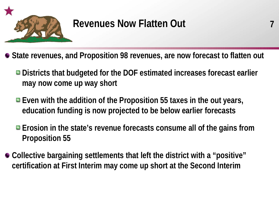

### **Revenues Now Flatten Out**

**State revenues, and Proposition 98 revenues, are now forecast to flatten out**

- **Districts that budgeted for the DOF estimated increases forecast earlier may now come up way short**
- Even with the addition of the Proposition 55 taxes in the out years, **education funding is now projected to be below earlier forecasts**
- **Erosion in the state's revenue forecasts consume all of the gains from Proposition 55**
- **Collective bargaining settlements that left the district with a "positive" certification at First Interim may come up short at the Second Interim**